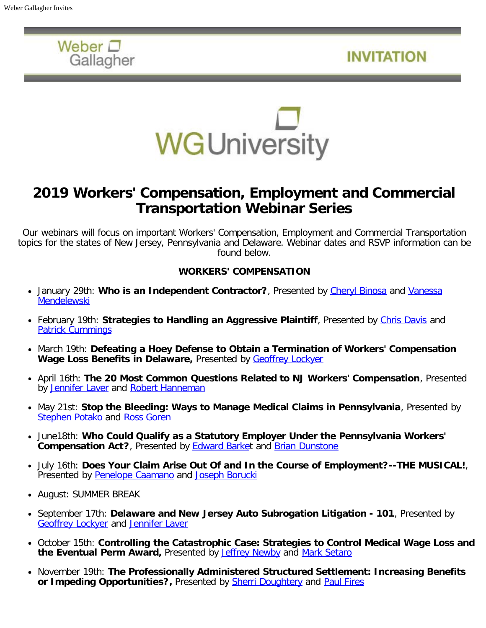

**INVITATION** 



# **2019 Workers' Compensation, Employment and Commercial Transportation Webinar Series**

Our webinars will focus on important Workers' Compensation, Employment and Commercial Transportation topics for the states of New Jersey, Pennsylvania and Delaware. Webinar dates and RSVP information can be found below.

### **WORKERS' COMPENSATION**

- January 29th: Who is an Independent Contractor?, Presented by [Cheryl Binosa](https://www.wglaw.com/Attorneys/Cheryl-A-Binosa) and [Vanessa](https://www.wglaw.com/Attorneys/Vanessa-Mendelewski) **[Mendelewski](https://www.wglaw.com/Attorneys/Vanessa-Mendelewski)**
- February 19th: Strategies to Handling an Aggressive Plaintiff, Presented by *Chris Davis* and [Patrick Cummings](https://www.wglaw.com/Attorneys/Patrick-Cummings)
- March 19th: **Defeating a Hoey Defense to Obtain a Termination of Workers' Compensation Wage Loss Benefits in Delaware,** Presented by [Geoffrey Lockyer](https://www.wglaw.com/Attorneys/Geoffrey-S-Lockyer)
- April 16th: **The 20 Most Common Questions Related to NJ Workers' Compensation**, Presented by [Jennifer Laver](https://www.wglaw.com/Attorneys/Jennifer-G-Laver) and [Robert Hanneman](https://www.wglaw.com/Attorneys/Robert-R-Hanneman-Jr)
- May 21st: **Stop the Bleeding: Ways to Manage Medical Claims in Pennsylvania**, Presented by [Stephen Potako](https://www.wglaw.com/Attorneys/Stephen-Potako) and [Ross Goren](https://www.wglaw.com/Attorneys/Ross-M-Goren)
- June18th: **Who Could Qualify as a Statutory Employer Under the Pennsylvania Workers' Compensation Act?**, Presented by [Edward Barke](https://www.wglaw.com/Attorneys/Edward-D-Barket)t and [Brian Dunstone](https://www.wglaw.com/Attorneys/Brian-F-Dunstone)
- July 16th: **Does Your Claim Arise Out Of and In the Course of Employment?--THE MUSICAL!**, Presented by [Penelope Caamano](https://www.wglaw.com/Attorneys/Penelope-Caamano) and [Joseph Borucki](https://www.wglaw.com/Attorneys/Joseph-W-Borucki)
- August: SUMMER BREAK
- September 17th: **Delaware and New Jersey Auto Subrogation Litigation 101**, Presented by [Geoffrey Lockyer](https://www.wglaw.com/Attorneys/Geoffrey-S-Lockyer) and [Jennifer Laver](https://www.wglaw.com/Attorneys/Jennifer-G-Laver)
- October 15th: **Controlling the Catastrophic Case: Strategies to Control Medical Wage Loss and the Eventual Perm Award,** Presented by [Jeffrey Newby](https://www.wglaw.com/Attorneys/Jeffrey-D-Newby) and [Mark Setaro](https://www.wglaw.com/Attorneys/Mark-S-Setaro)
- November 19th: **The Professionally Administered Structured Settlement: Increasing Benefits or Impeding Opportunities?**, Presented by **Sherri Doughtery and [Paul Fires](https://www.wglaw.com/Attorneys/Paul-M-Fires)**